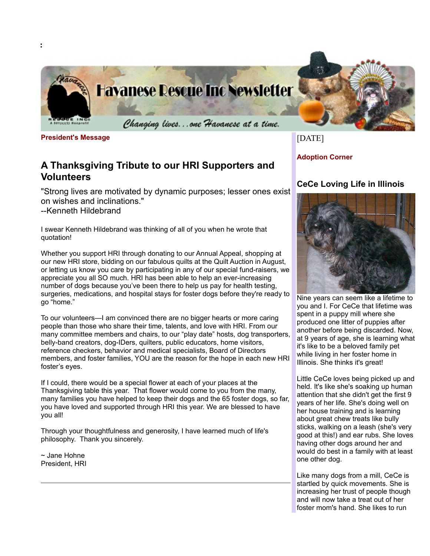

**President's Message**

**:**

# **A Thanksgiving Tribute to our HRI Supporters and Volunteers**

"Strong lives are motivated by dynamic purposes; lesser ones exist on wishes and inclinations."

--Kenneth Hildebrand

I swear Kenneth Hildebrand was thinking of all of you when he wrote that quotation!

Whether you support HRI through donating to our Annual Appeal, shopping at our new HRI store, bidding on our fabulous quilts at the Quilt Auction in August, or letting us know you care by participating in any of our special fund-raisers, we appreciate you all SO much. HRI has been able to help an ever-increasing number of dogs because you've been there to help us pay for health testing, surgeries, medications, and hospital stays for foster dogs before they're ready to go "home."

To our volunteers—I am convinced there are no bigger hearts or more caring people than those who share their time, talents, and love with HRI. From our many committee members and chairs, to our "play date" hosts, dog transporters, belly-band creators, dog-IDers, quilters, public educators, home visitors, reference checkers, behavior and medical specialists, Board of Directors members, and foster families, YOU are the reason for the hope in each new HRI foster's eyes.

If I could, there would be a special flower at each of your places at the Thanksgiving table this year. That flower would come to you from the many, many families you have helped to keep their dogs and the 65 foster dogs, so far, you have loved and supported through HRI this year. We are blessed to have you all!

Through your thoughtfulness and generosity, I have learned much of life's philosophy. Thank you sincerely.

~ Jane Hohne President, HRI [DATE]

**Adoption Corner**

## **CeCe Loving Life in Illinois**



Nine years can seem like a lifetime to you and I. For CeCe that lifetime was spent in a puppy mill where she produced one litter of puppies after another before being discarded. Now, at 9 years of age, she is learning what it's like to be a beloved family pet while living in her foster home in Illinois. She thinks it's great!

Little CeCe loves being picked up and held. It's like she's soaking up human attention that she didn't get the first 9 years of her life. She's doing well on her house training and is learning about great chew treats like bully sticks, walking on a leash (she's very good at this!) and ear rubs. She loves having other dogs around her and would do best in a family with at least one other dog.

Like many dogs from a mill, CeCe is startled by quick movements. She is increasing her trust of people though and will now take a treat out of her foster mom's hand. She likes to run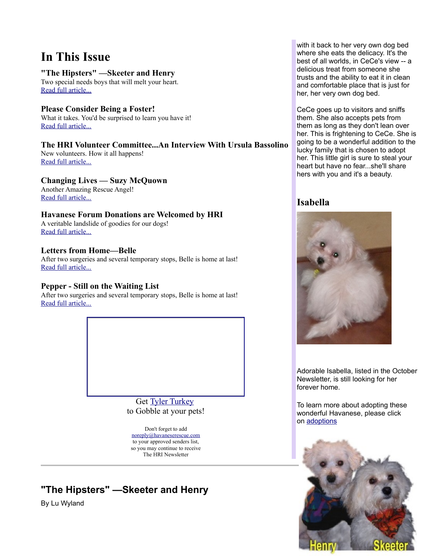# **In This Issue**

### **"The Hipsters" —Skeeter and Henry**

Two special needs boys that will melt your heart. [Read full article...](http://www.havaneserescue.com/index.php?option=com_acajoom&act=mailing&task=view&listid=21&mailingid=23&Itemid=20020#Hipsters)

### **Please Consider Being a Foster!**

What it takes. You'd be surprised to learn you have it! [Read full article...](http://www.havaneserescue.com/index.php?option=com_acajoom&act=mailing&task=view&listid=21&mailingid=23&Itemid=20020#foster)

### **The HRI Volunteer Committee...An Interview With Ursula Bassolino**

New volunteers. How it all happens! [Read full article...](http://www.havaneserescue.com/index.php?option=com_acajoom&act=mailing&task=view&listid=21&mailingid=23&Itemid=20020#UrsArticle)

### **Changing Lives — Suzy McQuown**

Another Amazing Rescue Angel! [Read full article...](http://www.havaneserescue.com/index.php?option=com_acajoom&act=mailing&task=view&listid=21&mailingid=23&Itemid=20020#Suzi)

### **Havanese Forum Donations are Welcomed by HRI**

A veritable landslide of goodies for our dogs! [Read full article...](http://www.havaneserescue.com/index.php?option=com_acajoom&act=mailing&task=view&listid=21&mailingid=23&Itemid=20020#Forum)

### **Letters from Home—Belle**

After two surgeries and several temporary stops, Belle is home at last! [Read full article...](http://www.havaneserescue.com/index.php?option=com_acajoom&act=mailing&task=view&listid=21&mailingid=23&Itemid=20020#BelleLetter)

### **Pepper - Still on the Waiting List**

After two surgeries and several temporary stops, Belle is home at last! [Read full article...](http://www.havaneserescue.com/index.php?option=com_acajoom&act=mailing&task=view&listid=21&mailingid=23&Itemid=20020#pepper)



Don't forget to add [noreply@havaneserescue.com](mailto:noreply@havaneserescue.com) to your approved senders list, so you may continue to receive The HRI Newsletter

# **"The Hipsters" —Skeeter and Henry**

By Lu Wyland

with it back to her very own dog bed where she eats the delicacy. It's the best of all worlds, in CeCe's view -- a delicious treat from someone she trusts and the ability to eat it in clean and comfortable place that is just for her, her very own dog bed.

CeCe goes up to visitors and sniffs them. She also accepts pets from them as long as they don't lean over her. This is frightening to CeCe. She is going to be a wonderful addition to the lucky family that is chosen to adopt her. This little girl is sure to steal your heart but have no fear...she'll share hers with you and it's a beauty.

## **Isabella**



Adorable Isabella, listed in the October Newsletter, is still looking for her forever home.

To learn more about adopting these wonderful Havanese, please click on [adoptions](http://www.havaneserescue.com/index.php?option=com_content&view=category&layout=blog&id=36&Itemid=159)

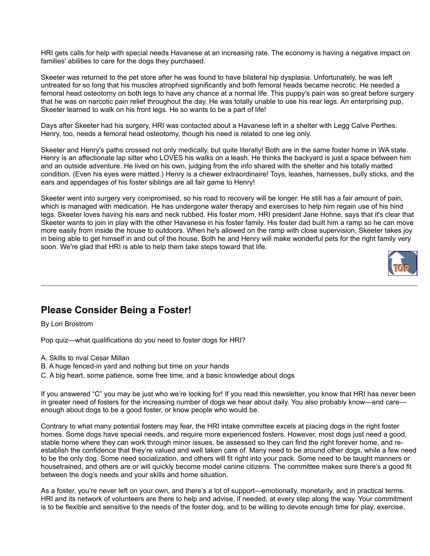HRI gets calls for help with special needs Havanese at an increasing rate. The economy is having a negative impact on families' abilities to care for the dogs they purchased.

Skeeter was returned to the pet store after he was found to have bilateral hip dysplasia. Unfortunately, he was left untreated for so long that his muscles atrophied significantly and both femoral heads became necrotic. He needed a femoral head osteotomy on both legs to have any chance at a normal life. This puppy's pain was so great before surgery that he was on narcotic pain relief throughout the day. He was totally unable to use his rear legs. An enterprising pup, Skeeter learned to walk on his front legs. He so wants to be a part of life!

Days after Skeeter had his surgery, HRI was contacted about a Havanese left in a shelter with Legg Calve Perthes. Henry, too, needs a femoral head osteotomy, though his need is related to one leg only.

Skeeter and Henry's paths crossed not only medically, but quite literally! Both are in the same foster home in WA state. Henry is an affectionate lap sitter who LOVES his walks on a leash. He thinks the backyard is just a space between him and an outside adventure. He lived on his own, judging from the info shared with the shelter and his totally matted condition. (Even his eyes were matted.) Henry is a chewer extraordinaire! Toys, leashes, harnesses, bully sticks, and the ears and appendages of his foster siblings are all fair game to Henry!

Skeeter went into surgery very compromised, so his road to recovery will be longer. He still has a fair amount of pain, which is managed with medication. He has undergone water therapy and exercises to help him regain use of his hind legs. Skeeter loves having his ears and neck rubbed. His foster mom, HRI president Jane Hohne, says that it's clear that Skeeter wants to join in play with the other Havanese in his foster family. His foster dad built him a ramp so he can move more easily from inside the house to outdoors. When he's allowed on the ramp with close supervision, Skeeter takes joy in being able to get himself in and out of the house. Both he and Henry will make wonderful pets for the right family very soon. We're glad that HRI is able to help them take steps toward that life.



## **Please Consider Being a Foster!**

By Lori Brostrom

Pop quiz—what qualifications do you need to foster dogs for HRI?

- A. Skills to rival Cesar Millan
- B. A huge fenced-in yard and nothing but time on your hands
- C. A big heart, some patience, some free time, and a basic knowledge about dogs

If you answered "C" you may be just who we're looking for! If you read this newsletter, you know that HRI has never been in greater need of fosters for the increasing number of dogs we hear about daily. You also probably know—and care enough about dogs to be a good foster, or know people who would be.

Contrary to what many potential fosters may fear, the HRI intake committee excels at placing dogs in the right foster homes. Some dogs have special needs, and require more experienced fosters. However, most dogs just need a good, stable home where they can work through minor issues, be assessed so they can find the right forever home, and reestablish the confidence that they're valued and well taken care of. Many need to be around other dogs, while a few need to be the only dog. Some need socialization, and others will fit right into your pack. Some need to be taught manners or housetrained, and others are or will quickly become model canine citizens. The committee makes sure there's a good fit between the dog's needs and your skills and home situation.

As a foster, you're never left on your own, and there's a lot of support—emotionally, monetarily, and in practical terms. HRI and its network of volunteers are there to help and advise, if needed, at every step along the way. Your commitment is to be flexible and sensitive to the needs of the foster dog, and to be willing to devote enough time for play, exercise,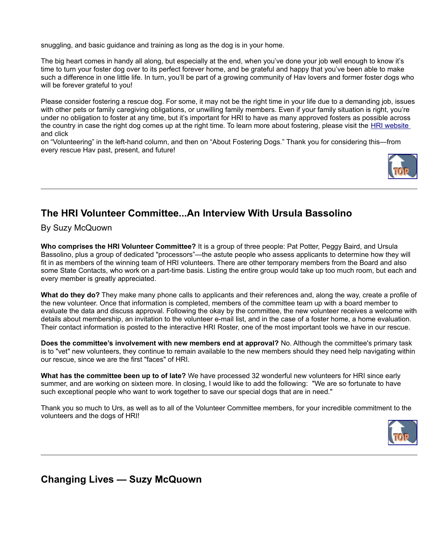snuggling, and basic guidance and training as long as the dog is in your home.

The big heart comes in handy all along, but especially at the end, when you've done your job well enough to know it's time to turn your foster dog over to its perfect forever home, and be grateful and happy that you've been able to make such a difference in one little life. In turn, you'll be part of a growing community of Hav lovers and former foster dogs who will be forever grateful to you!

Please consider fostering a rescue dog. For some, it may not be the right time in your life due to a demanding job, issues with other pets or family caregiving obligations, or unwilling family members. Even if your family situation is right, you're under no obligation to foster at any time, but it's important for HRI to have as many approved fosters as possible across the country in case the right dog comes up at the right time. To learn more about fostering, please visit the [HRI website](http://www.havaneserescue.com/undefined/) and click

on "Volunteering" in the left-hand column, and then on "About Fostering Dogs." Thank you for considering this—from every rescue Hav past, present, and future!



# **The HRI Volunteer Committee...An Interview With Ursula Bassolino**

By Suzy McQuown

**Who comprises the HRI Volunteer Committee?** It is a group of three people: Pat Potter, Peggy Baird, and Ursula Bassolino, plus a group of dedicated "processors"—the astute people who assess applicants to determine how they will fit in as members of the winning team of HRI volunteers. There are other temporary members from the Board and also some State Contacts, who work on a part-time basis. Listing the entire group would take up too much room, but each and every member is greatly appreciated.

**What do they do?** They make many phone calls to applicants and their references and, along the way, create a profile of the new volunteer. Once that information is completed, members of the committee team up with a board member to evaluate the data and discuss approval. Following the okay by the committee, the new volunteer receives a welcome with details about membership, an invitation to the volunteer e-mail list, and in the case of a foster home, a home evaluation. Their contact information is posted to the interactive HRI Roster, one of the most important tools we have in our rescue.

**Does the committee's involvement with new members end at approval?** No. Although the committee's primary task is to "vet" new volunteers, they continue to remain available to the new members should they need help navigating within our rescue, since we are the first "faces" of HRI.

**What has the committee been up to of late?** We have processed 32 wonderful new volunteers for HRI since early summer, and are working on sixteen more. In closing, I would like to add the following: "We are so fortunate to have such exceptional people who want to work together to save our special dogs that are in need."

Thank you so much to Urs, as well as to all of the Volunteer Committee members, for your incredible commitment to the volunteers and the dogs of HRI!



**Changing Lives — Suzy McQuown**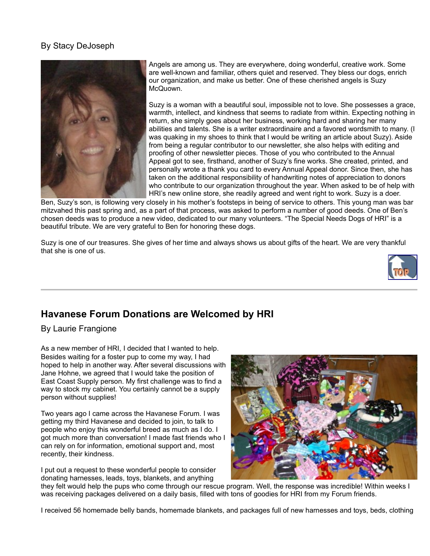### By Stacy DeJoseph



Angels are among us. They are everywhere, doing wonderful, creative work. Some are well-known and familiar, others quiet and reserved. They bless our dogs, enrich our organization, and make us better. One of these cherished angels is Suzy McQuown.

Suzy is a woman with a beautiful soul, impossible not to love. She possesses a grace, warmth, intellect, and kindness that seems to radiate from within. Expecting nothing in return, she simply goes about her business, working hard and sharing her many abilities and talents. She is a writer extraordinaire and a favored wordsmith to many. (I was quaking in my shoes to think that I would be writing an article about Suzy). Aside from being a regular contributor to our newsletter, she also helps with editing and proofing of other newsletter pieces. Those of you who contributed to the Annual Appeal got to see, firsthand, another of Suzy's fine works. She created, printed, and personally wrote a thank you card to every Annual Appeal donor. Since then, she has taken on the additional responsibility of handwriting notes of appreciation to donors who contribute to our organization throughout the year. When asked to be of help with HRI's new online store, she readily agreed and went right to work. Suzy is a doer.

Ben, Suzy's son, is following very closely in his mother's footsteps in being of service to others. This young man was bar mitzvahed this past spring and, as a part of that process, was asked to perform a number of good deeds. One of Ben's chosen deeds was to produce a new video, dedicated to our many volunteers. "The Special Needs Dogs of HRI" is a beautiful tribute. We are very grateful to Ben for honoring these dogs.

Suzy is one of our treasures. She gives of her time and always shows us about gifts of the heart. We are very thankful that she is one of us.



## **Havanese Forum Donations are Welcomed by HRI**

By Laurie Frangione

As a new member of HRI, I decided that I wanted to help. Besides waiting for a foster pup to come my way, I had hoped to help in another way. After several discussions with Jane Hohne, we agreed that I would take the position of East Coast Supply person. My first challenge was to find a way to stock my cabinet. You certainly cannot be a supply person without supplies!

Two years ago I came across the Havanese Forum. I was getting my third Havanese and decided to join, to talk to people who enjoy this wonderful breed as much as I do. I got much more than conversation! I made fast friends who I can rely on for information, emotional support and, most recently, their kindness.

I put out a request to these wonderful people to consider donating harnesses, leads, toys, blankets, and anything



they felt would help the pups who come through our rescue program. Well, the response was incredible! Within weeks I was receiving packages delivered on a daily basis, filled with tons of goodies for HRI from my Forum friends.

I received 56 homemade belly bands, homemade blankets, and packages full of new harnesses and toys, beds, clothing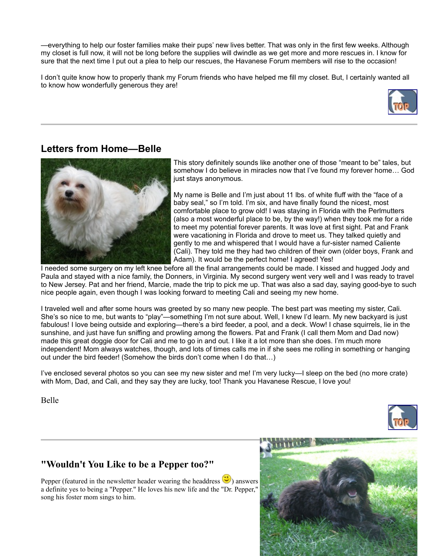—everything to help our foster families make their pups' new lives better. That was only in the first few weeks. Although my closet is full now, it will not be long before the supplies will dwindle as we get more and more rescues in. I know for sure that the next time I put out a plea to help our rescues, the Havanese Forum members will rise to the occasion!

I don't quite know how to properly thank my Forum friends who have helped me fill my closet. But, I certainly wanted all to know how wonderfully generous they are!



## **Letters from Home—Belle**



This story definitely sounds like another one of those "meant to be" tales, but somehow I do believe in miracles now that I've found my forever home… God just stays anonymous.

My name is Belle and I'm just about 11 lbs. of white fluff with the "face of a baby seal," so I'm told. I'm six, and have finally found the nicest, most comfortable place to grow old! I was staying in Florida with the Perlmutters (also a most wonderful place to be, by the way!) when they took me for a ride to meet my potential forever parents. It was love at first sight. Pat and Frank were vacationing in Florida and drove to meet us. They talked quietly and gently to me and whispered that I would have a fur-sister named Caliente (Cali). They told me they had two children of their own (older boys, Frank and Adam). It would be the perfect home! I agreed! Yes!

I needed some surgery on my left knee before all the final arrangements could be made. I kissed and hugged Jody and Paula and stayed with a nice family, the Donners, in Virginia. My second surgery went very well and I was ready to travel to New Jersey. Pat and her friend, Marcie, made the trip to pick me up. That was also a sad day, saying good-bye to such nice people again, even though I was looking forward to meeting Cali and seeing my new home.

I traveled well and after some hours was greeted by so many new people. The best part was meeting my sister, Cali. She's so nice to me, but wants to "play"—something I'm not sure about. Well, I knew I'd learn. My new backyard is just fabulous! I love being outside and exploring—there's a bird feeder, a pool, and a deck. Wow! I chase squirrels, lie in the sunshine, and just have fun sniffing and prowling among the flowers. Pat and Frank (I call them Mom and Dad now) made this great doggie door for Cali and me to go in and out. I like it a lot more than she does. I'm much more independent! Mom always watches, though, and lots of times calls me in if she sees me rolling in something or hanging out under the bird feeder! (Somehow the birds don't come when I do that…)

I've enclosed several photos so you can see my new sister and me! I'm very lucky—I sleep on the bed (no more crate) with Mom, Dad, and Cali, and they say they are lucky, too! Thank you Havanese Rescue, I love you!

Belle



## **"Wouldn't You Like to be a Pepper too?"**

Pepper (featured in the newsletter header wearing the headdress  $\mathbb{C}$ ) answers a definite yes to being a "Pepper." He loves his new life and the "Dr. Pepper," song his foster mom sings to him.